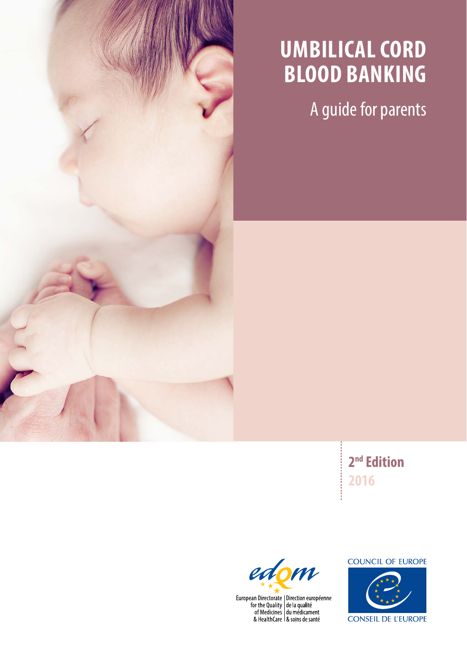

### **umbilical cord blood banking**

A guide for parents

**2nd Edition 2016**



European Directorate | Direction européenne<br>for the Quality | de la qualité<br>of Medicines | du médicament<br>& HealthCare | & soins de santé

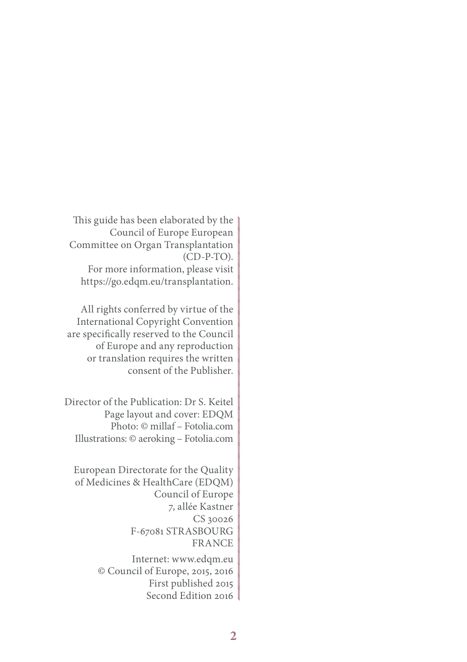This guide has been elaborated by the Council of Europe European Committee on Organ Transplantation (CD-P-TO). For more information, please visit https://go.edqm.eu/transplantation.

All rights conferred by virtue of the International Copyright Convention are specifically reserved to the Council of Europe and any reproduction or translation requires the written consent of the Publisher.

Director of the Publication: Dr S. Keitel Page layout and cover: EDQM Photo: © millaf – Fotolia.com Illustrations: © aeroking – Fotolia.com

European Directorate for the Quality of Medicines & HealthCare (EDQM) Council of Europe 7, allée Kastner CS 30026 F-67081 STRASBOURG FRANCE Internet: www.edqm.eu © Council of Europe, 2015, 2016 First published 2015 Second Edition 2016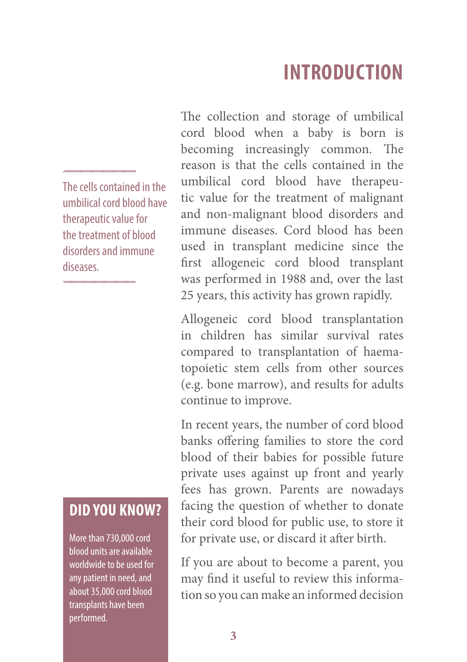### **INTRODUCTION**

The cells contained in the umbilical cord blood have therapeutic value for the treatment of blood disorders and immune diseases.

#### **DID you Know?**

More than 730,000 cord blood units are available worldwide to be used for any patient in need, and about 35,000 cord blood transplants have been performed.

The collection and storage of umbilical cord blood when a baby is born is becoming increasingly common. The reason is that the cells contained in the umbilical cord blood have therapeutic value for the treatment of malignant and non-malignant blood disorders and immune diseases. Cord blood has been used in transplant medicine since the first allogeneic cord blood transplant was performed in 1988 and, over the last 25 years, this activity has grown rapidly.

Allogeneic cord blood transplantation in children has similar survival rates compared to transplantation of haematopoietic stem cells from other sources (e.g. bone marrow), and results for adults continue to improve.

In recent years, the number of cord blood banks offering families to store the cord blood of their babies for possible future private uses against up front and yearly fees has grown. Parents are nowadays facing the question of whether to donate their cord blood for public use, to store it for private use, or discard it after birth.

If you are about to become a parent, you may find it useful to review this information so you can make an informed decision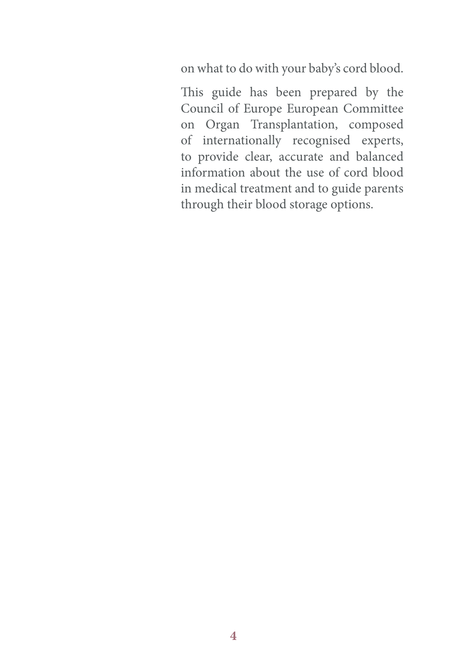on what to do with your baby's cord blood.

This guide has been prepared by the Council of Europe European Committee on Organ Transplantation, composed of internationally recognised experts, to provide clear, accurate and balanced information about the use of cord blood in medical treatment and to guide parents through their blood storage options.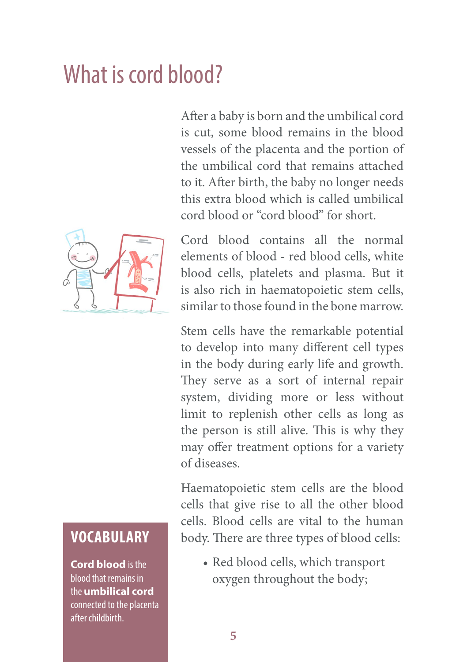## What is cord blood?

After a baby is born and the umbilical cord is cut, some blood remains in the blood vessels of the placenta and the portion of the umbilical cord that remains attached to it. After birth, the baby no longer needs this extra blood which is called umbilical cord blood or ''cord blood'' for short.



**Vocabulary**

**Cord blood** is the blood that remains in the **umbilical cord** connected to the placenta after childbirth.

Cord blood contains all the normal elements of blood - red blood cells, white blood cells, platelets and plasma. But it is also rich in haematopoietic stem cells, similar to those found in the bone marrow.

Stem cells have the remarkable potential to develop into many different cell types in the body during early life and growth. They serve as a sort of internal repair system, dividing more or less without limit to replenish other cells as long as the person is still alive. This is why they may offer treatment options for a variety of diseases.

Haematopoietic stem cells are the blood cells that give rise to all the other blood cells. Blood cells are vital to the human body. There are three types of blood cells:

• Red blood cells, which transport oxygen throughout the body;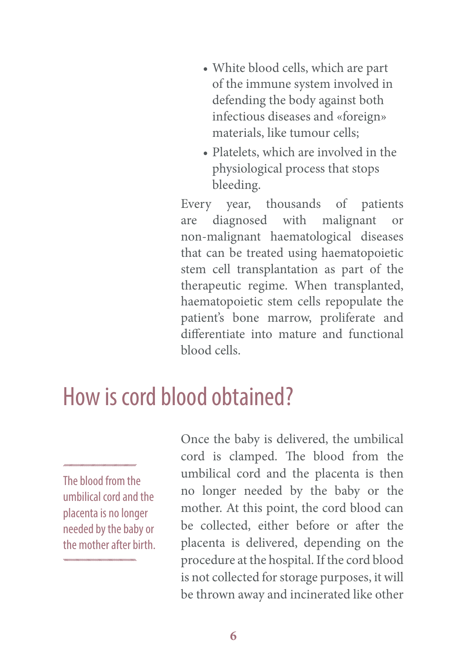- • White blood cells, which are part of the immune system involved in defending the body against both infectious diseases and «foreign» materials, like tumour cells;
- Platelets, which are involved in the physiological process that stops bleeding.

Every year, thousands of patients are diagnosed with malignant or non-malignant haematological diseases that can be treated using haematopoietic stem cell transplantation as part of the therapeutic regime. When transplanted, haematopoietic stem cells repopulate the patient's bone marrow, proliferate and differentiate into mature and functional blood cells.

### How is cord blood obtained?

The blood from the umbilical cord and the placenta is no longer needed by the baby or the mother after birth. Once the baby is delivered, the umbilical cord is clamped. The blood from the umbilical cord and the placenta is then no longer needed by the baby or the mother. At this point, the cord blood can be collected, either before or after the placenta is delivered, depending on the procedure at the hospital. If the cord blood is not collected for storage purposes, it will be thrown away and incinerated like other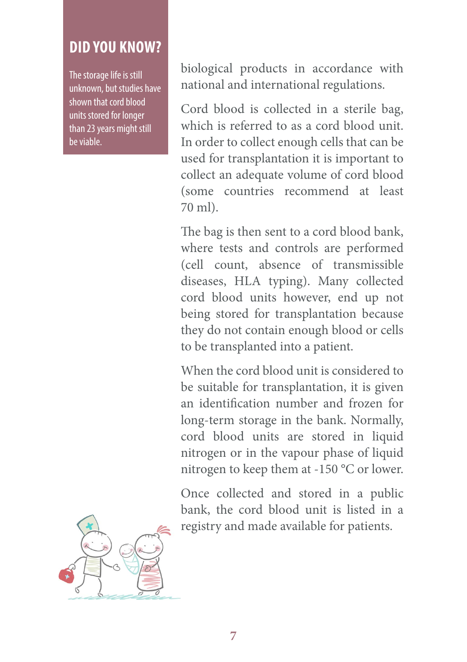#### **DID you Know?**

The storage life is still unknown, but studies have shown that cord blood units stored for longer than 23 years might still be viable.

biological products in accordance with national and international regulations.

Cord blood is collected in a sterile bag, which is referred to as a cord blood unit. In order to collect enough cells that can be used for transplantation it is important to collect an adequate volume of cord blood (some countries recommend at least 70 ml).

The bag is then sent to a cord blood bank, where tests and controls are performed (cell count, absence of transmissible diseases, HLA typing). Many collected cord blood units however, end up not being stored for transplantation because they do not contain enough blood or cells to be transplanted into a patient.

When the cord blood unit is considered to be suitable for transplantation, it is given an identification number and frozen for long-term storage in the bank. Normally, cord blood units are stored in liquid nitrogen or in the vapour phase of liquid nitrogen to keep them at -150 °C or lower.

Once collected and stored in a public bank, the cord blood unit is listed in a registry and made available for patients.

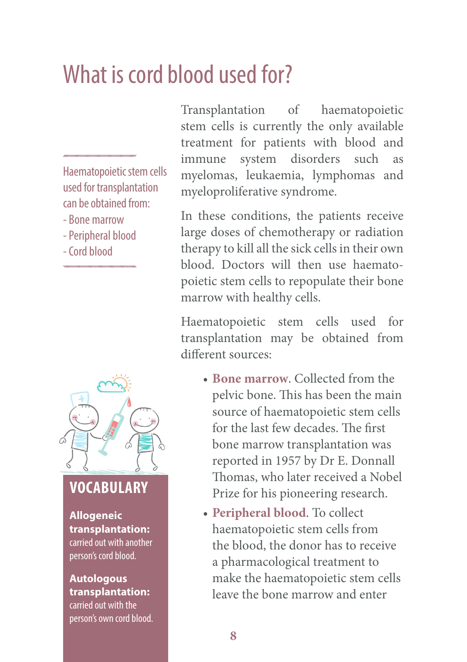## What is cord blood used for?

Haematopoietic stem cells used for transplantation can be obtained from:

- Bone marrow
- Peripheral blood
- Cord blood



#### **Vocabulary**

**Allogeneic transplantation:** carried out with another person's cord blood.

**Autologous transplantation:** carried out with the person's own cord blood. Transplantation of haematopoietic stem cells is currently the only available treatment for patients with blood and immune system disorders such as myelomas, leukaemia, lymphomas and myeloproliferative syndrome.

In these conditions, the patients receive large doses of chemotherapy or radiation therapy to kill all the sick cells in their own blood. Doctors will then use haematopoietic stem cells to repopulate their bone marrow with healthy cells.

Haematopoietic stem cells used for transplantation may be obtained from different sources:

- • **Bone marrow**. Collected from the pelvic bone. This has been the main source of haematopoietic stem cells for the last few decades. The first bone marrow transplantation was reported in 1957 by Dr E. Donnall Thomas, who later received a Nobel Prize for his pioneering research.
- • **Peripheral blood**. To collect haematopoietic stem cells from the blood, the donor has to receive a pharmacological treatment to make the haematopoietic stem cells leave the bone marrow and enter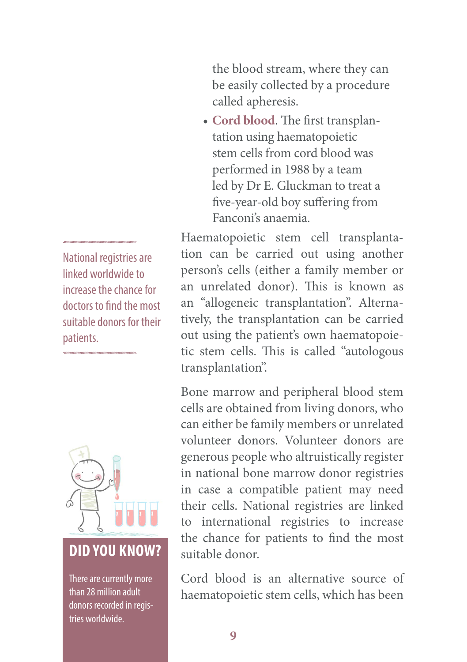the blood stream, where they can be easily collected by a procedure called apheresis.

• **Cord blood**. The first transplantation using haematopoietic stem cells from cord blood was performed in 1988 by a team led by Dr E. Gluckman to treat a five-year-old boy suffering from Fanconi's anaemia.

Haematopoietic stem cell transplantation can be carried out using another person's cells (either a family member or an unrelated donor). This is known as an "allogeneic transplantation". Alternatively, the transplantation can be carried out using the patient's own haematopoietic stem cells. This is called "autologous transplantation".

Bone marrow and peripheral blood stem cells are obtained from living donors, who can either be family members or unrelated volunteer donors. Volunteer donors are generous people who altruistically register in national bone marrow donor registries in case a compatible patient may need their cells. National registries are linked to international registries to increase the chance for patients to find the most suitable donor.

Cord blood is an alternative source of haematopoietic stem cells, which has been

National registries are linked worldwide to increase the chance for doctors to find the most suitable donors for their patients.



### **DID you Know?**

There are currently more than 28 million adult donors recorded in registries worldwide.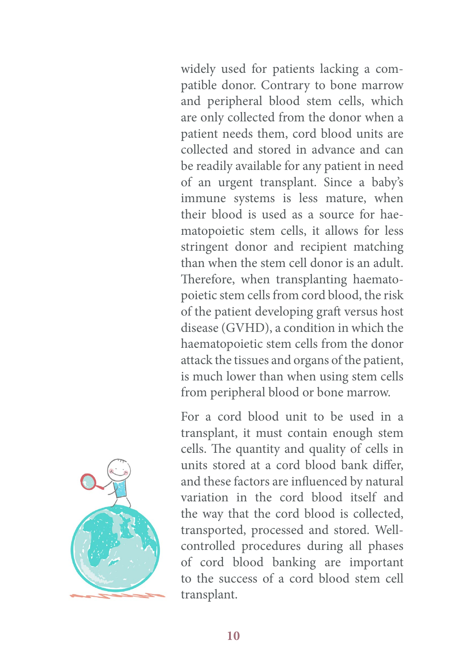widely used for patients lacking a compatible donor. Contrary to bone marrow and peripheral blood stem cells, which are only collected from the donor when a patient needs them, cord blood units are collected and stored in advance and can be readily available for any patient in need of an urgent transplant. Since a baby's immune systems is less mature, when their blood is used as a source for haematopoietic stem cells, it allows for less stringent donor and recipient matching than when the stem cell donor is an adult. Therefore, when transplanting haematopoietic stem cells from cord blood, the risk of the patient developing graft versus host disease (GVHD), a condition in which the haematopoietic stem cells from the donor attack the tissues and organs of the patient, is much lower than when using stem cells from peripheral blood or bone marrow.

For a cord blood unit to be used in a transplant, it must contain enough stem cells. The quantity and quality of cells in units stored at a cord blood bank differ, and these factors are influenced by natural variation in the cord blood itself and the way that the cord blood is collected, transported, processed and stored. Wellcontrolled procedures during all phases of cord blood banking are important to the success of a cord blood stem cell transplant.

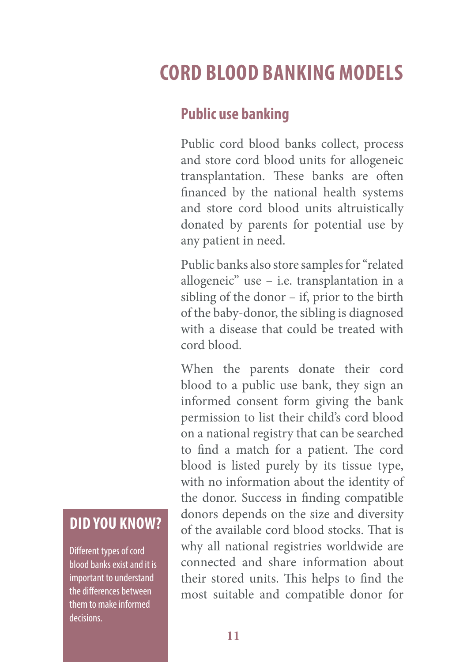### **Cord blood banking models**

#### **Public use banking**

Public cord blood banks collect, process and store cord blood units for allogeneic transplantation. These banks are often financed by the national health systems and store cord blood units altruistically donated by parents for potential use by any patient in need.

Public banks also store samples for "related allogeneic" use – i.e. transplantation in a sibling of the donor – if, prior to the birth of the baby-donor, the sibling is diagnosed with a disease that could be treated with cord blood.

When the parents donate their cord blood to a public use bank, they sign an informed consent form giving the bank permission to list their child's cord blood on a national registry that can be searched to find a match for a patient. The cord blood is listed purely by its tissue type, with no information about the identity of the donor. Success in finding compatible donors depends on the size and diversity of the available cord blood stocks. That is why all national registries worldwide are connected and share information about their stored units. This helps to find the most suitable and compatible donor for

### **DID you Know?**

Different types of cord blood banks exist and it is important to understand the differences between them to make informed decisions.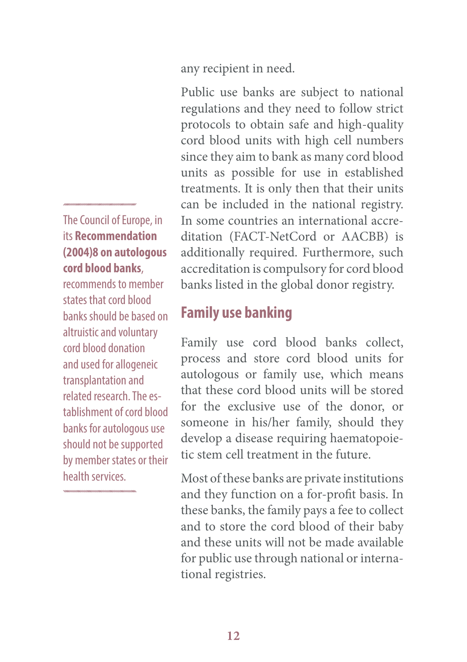any recipient in need.

Public use banks are subject to national regulations and they need to follow strict protocols to obtain safe and high-quality cord blood units with high cell numbers since they aim to bank as many cord blood units as possible for use in established treatments. It is only then that their units can be included in the national registry. In some countries an international accreditation (FACT-NetCord or AACBB) is additionally required. Furthermore, such accreditation is compulsory for cord blood banks listed in the global donor registry.

#### **Family use banking**

Family use cord blood banks collect, process and store cord blood units for autologous or family use, which means that these cord blood units will be stored for the exclusive use of the donor, or someone in his/her family, should they develop a disease requiring haematopoietic stem cell treatment in the future.

Most of these banks are private institutions and they function on a for-profit basis. In these banks, the family pays a fee to collect and to store the cord blood of their baby and these units will not be made available for public use through national or international registries.

#### The Council of Europe, in its **Recommendation (2004)8 on autologous cord blood banks**,

recommends to member states that cord blood banks should be based on altruistic and voluntary cord blood donation and used for allogeneic transplantation and related research. The establishment of cord blood banks for autologous use should not be supported by member states or their health services.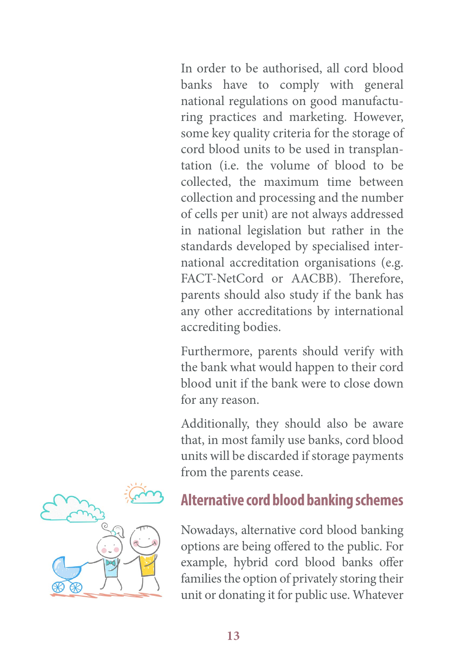In order to be authorised, all cord blood banks have to comply with general national regulations on good manufacturing practices and marketing. However, some key quality criteria for the storage of cord blood units to be used in transplantation (i.e. the volume of blood to be collected, the maximum time between collection and processing and the number of cells per unit) are not always addressed in national legislation but rather in the standards developed by specialised international accreditation organisations (e.g. FACT-NetCord or AACBB). Therefore, parents should also study if the bank has any other accreditations by international accrediting bodies.

Furthermore, parents should verify with the bank what would happen to their cord blood unit if the bank were to close down for any reason.

Additionally, they should also be aware that, in most family use banks, cord blood units will be discarded if storage payments from the parents cease.

#### **Alternative cord blood banking schemes**

Nowadays, alternative cord blood banking options are being offered to the public. For example, hybrid cord blood banks offer families the option of privately storing their unit or donating it for public use. Whatever

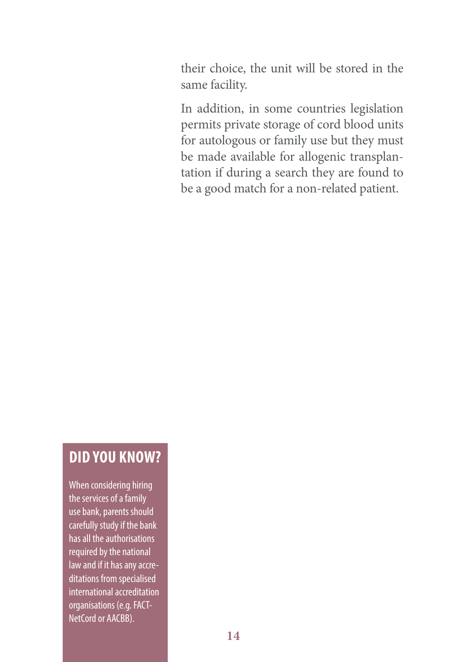their choice, the unit will be stored in the same facility.

In addition, in some countries legislation permits private storage of cord blood units for autologous or family use but they must be made available for allogenic transplantation if during a search they are found to be a good match for a non-related patient.

#### **DID you Know?**

When considering hiring the services of a family use bank, parents should carefully study if the bank has all the authorisations required by the national law and if it has any accreditations from specialised international accreditation organisations (e.g. FACT-NetCord or AACBB).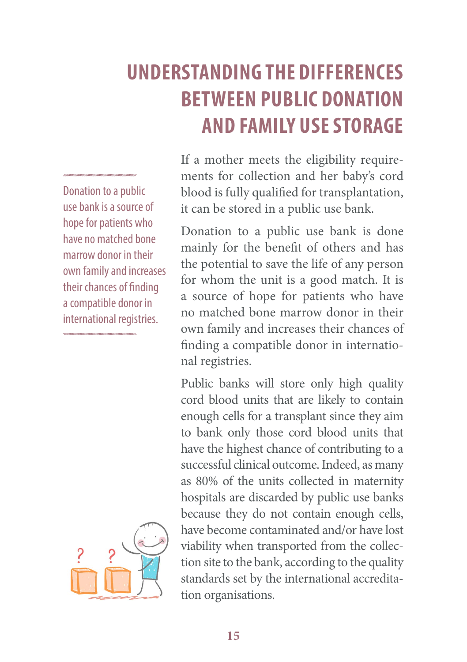### **UNDERSTANDING THE DIFFERENCES BETWEEN PUBLIC DONATION AND FAMILY USE STORAGE**

Donation to a public use bank is a source of hope for patients who have no matched bone marrow donor in their own family and increases their chances of finding a compatible donor in international registries.



If a mother meets the eligibility requirements for collection and her baby's cord blood is fully qualified for transplantation, it can be stored in a public use bank.

Donation to a public use bank is done mainly for the benefit of others and has the potential to save the life of any person for whom the unit is a good match. It is a source of hope for patients who have no matched bone marrow donor in their own family and increases their chances of finding a compatible donor in international registries.

Public banks will store only high quality cord blood units that are likely to contain enough cells for a transplant since they aim to bank only those cord blood units that have the highest chance of contributing to a successful clinical outcome. Indeed, as many as 80% of the units collected in maternity hospitals are discarded by public use banks because they do not contain enough cells, have become contaminated and/or have lost viability when transported from the collection site to the bank, according to the quality standards set by the international accreditation organisations.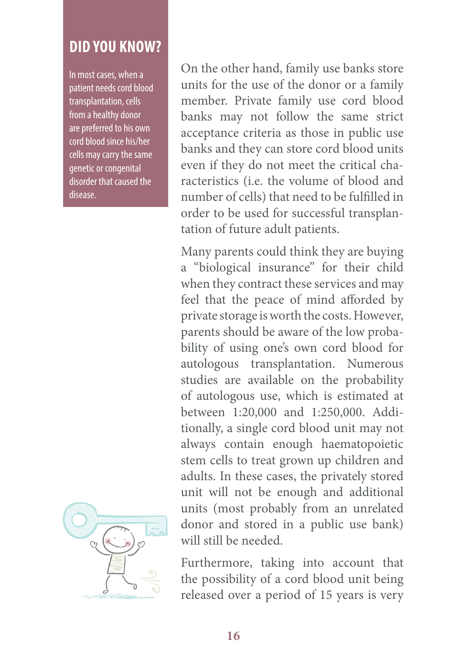#### **DID you Know?**

In most cases, when a patient needs cord blood transplantation, cells from a healthy donor are preferred to his own cord blood since his/her cells may carry the same genetic or congenital disorder that caused the disease.



On the other hand, family use banks store units for the use of the donor or a family member. Private family use cord blood banks may not follow the same strict acceptance criteria as those in public use banks and they can store cord blood units even if they do not meet the critical characteristics (i.e. the volume of blood and number of cells) that need to be fulfilled in order to be used for successful transplantation of future adult patients.

Many parents could think they are buying a "biological insurance" for their child when they contract these services and may feel that the peace of mind afforded by private storage is worth the costs. However, parents should be aware of the low probability of using one's own cord blood for autologous transplantation. Numerous studies are available on the probability of autologous use, which is estimated at between 1:20,000 and 1:250,000. Additionally, a single cord blood unit may not always contain enough haematopoietic stem cells to treat grown up children and adults. In these cases, the privately stored unit will not be enough and additional units (most probably from an unrelated donor and stored in a public use bank) will still be needed.

Furthermore, taking into account that the possibility of a cord blood unit being released over a period of 15 years is very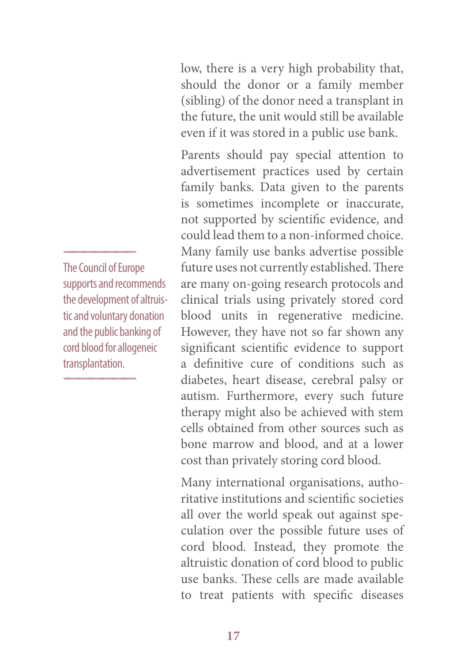low, there is a very high probability that, should the donor or a family member (sibling) of the donor need a transplant in the future, the unit would still be available even if it was stored in a public use bank.

Parents should pay special attention to advertisement practices used by certain family banks. Data given to the parents is sometimes incomplete or inaccurate, not supported by scientific evidence, and could lead them to a non-informed choice. Many family use banks advertise possible future uses not currently established. There are many on-going research protocols and clinical trials using privately stored cord blood units in regenerative medicine. However, they have not so far shown any significant scientific evidence to support a definitive cure of conditions such as diabetes, heart disease, cerebral palsy or autism. Furthermore, every such future therapy might also be achieved with stem cells obtained from other sources such as bone marrow and blood, and at a lower cost than privately storing cord blood.

Many international organisations, authoritative institutions and scientific societies all over the world speak out against speculation over the possible future uses of cord blood. Instead, they promote the altruistic donation of cord blood to public use banks. These cells are made available to treat patients with specific diseases

The Council of Europe supports and recommends the development of altruistic and voluntary donation and the public banking of cord blood for allogeneic transplantation.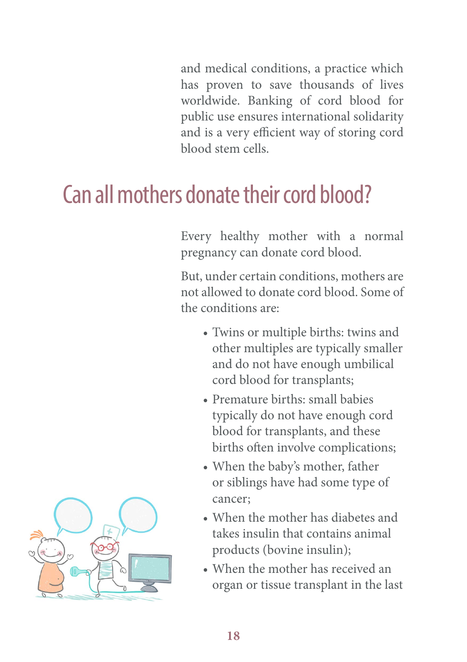and medical conditions, a practice which has proven to save thousands of lives worldwide. Banking of cord blood for public use ensures international solidarity and is a very efficient way of storing cord blood stem cells.

# Can all mothers donate their cord blood?

Every healthy mother with a normal pregnancy can donate cord blood.

But, under certain conditions, mothers are not allowed to donate cord blood. Some of the conditions are:

- • Twins or multiple births: twins and other multiples are typically smaller and do not have enough umbilical cord blood for transplants;
- Premature births: small babies typically do not have enough cord blood for transplants, and these births often involve complications;
- • When the baby's mother, father or siblings have had some type of cancer;
- When the mother has diabetes and takes insulin that contains animal products (bovine insulin);
- When the mother has received an organ or tissue transplant in the last

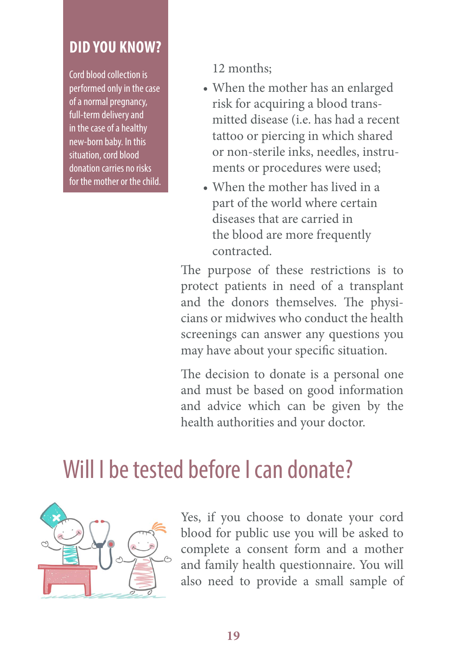#### **DID you Know?**

Cord blood collection is performed only in the case of a normal pregnancy, full-term delivery and in the case of a healthy new-born baby. In this situation, cord blood donation carries no risks for the mother or the child. 12 months;

- • When the mother has an enlarged risk for acquiring a blood transmitted disease (i.e. has had a recent tattoo or piercing in which shared or non-sterile inks, needles, instruments or procedures were used;
- When the mother has lived in a part of the world where certain diseases that are carried in the blood are more frequently contracted.

The purpose of these restrictions is to protect patients in need of a transplant and the donors themselves. The physicians or midwives who conduct the health screenings can answer any questions you may have about your specific situation.

The decision to donate is a personal one and must be based on good information and advice which can be given by the health authorities and your doctor.

## Will I be tested before I can donate?



Yes, if you choose to donate your cord blood for public use you will be asked to complete a consent form and a mother and family health questionnaire. You will also need to provide a small sample of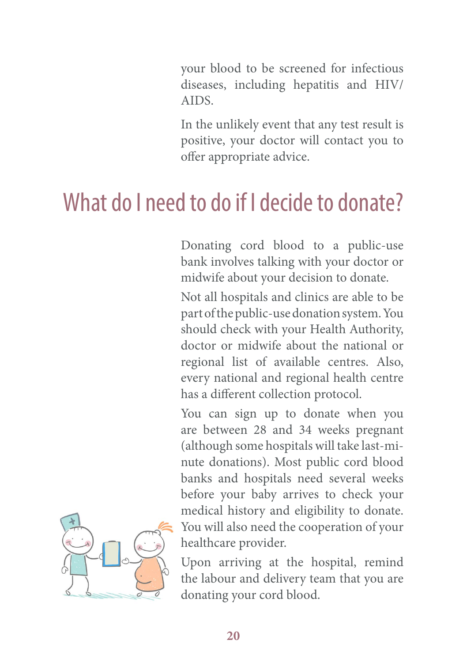your blood to be screened for infectious diseases, including hepatitis and HIV/ AIDS.

In the unlikely event that any test result is positive, your doctor will contact you to offer appropriate advice.

### What do I need to do if I decide to donate?

Donating cord blood to a public-use bank involves talking with your doctor or midwife about your decision to donate.

Not all hospitals and clinics are able to be part of the public-use donation system. You should check with your Health Authority, doctor or midwife about the national or regional list of available centres. Also, every national and regional health centre has a different collection protocol.

You can sign up to donate when you are between 28 and 34 weeks pregnant (although some hospitals will take last-minute donations). Most public cord blood banks and hospitals need several weeks before your baby arrives to check your medical history and eligibility to donate. You will also need the cooperation of your healthcare provider.

Upon arriving at the hospital, remind the labour and delivery team that you are donating your cord blood.

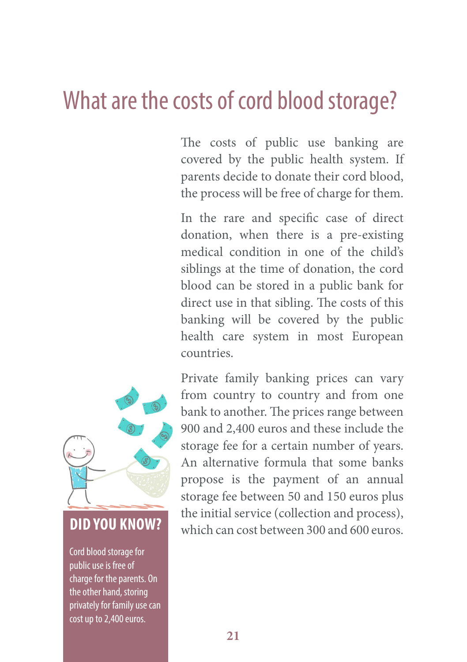### What are the costs of cord blood storage?

The costs of public use banking are covered by the public health system. If parents decide to donate their cord blood, the process will be free of charge for them.

In the rare and specific case of direct donation, when there is a pre-existing medical condition in one of the child's siblings at the time of donation, the cord blood can be stored in a public bank for direct use in that sibling. The costs of this banking will be covered by the public health care system in most European countries.



Cord blood storage for public use is free of charge for the parents. On the other hand, storing privately for family use can cost up to 2,400 euros.

Private family banking prices can vary from country to country and from one bank to another. The prices range between 900 and 2,400 euros and these include the storage fee for a certain number of years. An alternative formula that some banks propose is the payment of an annual storage fee between 50 and 150 euros plus the initial service (collection and process), **DID YOU KNOW?** which can cost between 300 and 600 euros.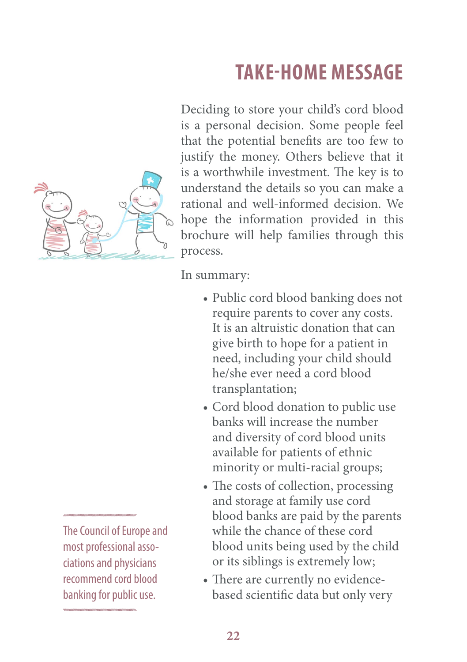### **Take-home message**



Deciding to store your child's cord blood is a personal decision. Some people feel that the potential benefits are too few to justify the money. Others believe that it is a worthwhile investment. The key is to understand the details so you can make a rational and well-informed decision. We hope the information provided in this brochure will help families through this process.

In summary:

- Public cord blood banking does not require parents to cover any costs. It is an altruistic donation that can give birth to hope for a patient in need, including your child should he/she ever need a cord blood transplantation;
- Cord blood donation to public use banks will increase the number and diversity of cord blood units available for patients of ethnic minority or multi-racial groups;
- The costs of collection, processing and storage at family use cord blood banks are paid by the parents while the chance of these cord blood units being used by the child or its siblings is extremely low;
- There are currently no evidencebased scientific data but only very

The Council of Europe and most professional associations and physicians recommend cord blood banking for public use.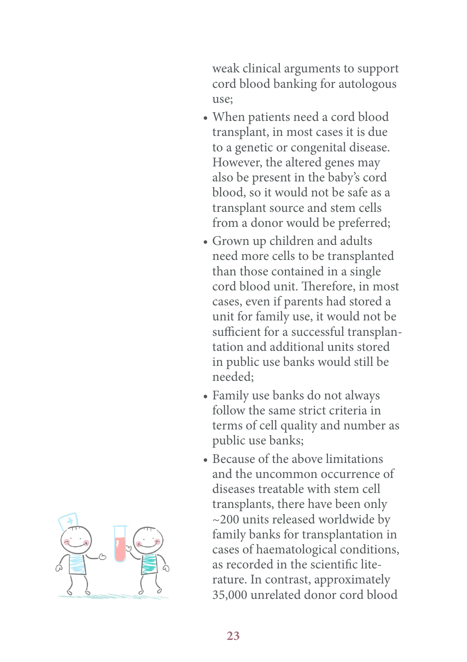weak clinical arguments to support cord blood banking for autologous use;

- When patients need a cord blood transplant, in most cases it is due to a genetic or congenital disease. However, the altered genes may also be present in the baby's cord blood, so it would not be safe as a transplant source and stem cells from a donor would be preferred;
- Grown up children and adults need more cells to be transplanted than those contained in a single cord blood unit. Therefore, in most cases, even if parents had stored a unit for family use, it would not be sufficient for a successful transplantation and additional units stored in public use banks would still be needed;
- • Family use banks do not always follow the same strict criteria in terms of cell quality and number as public use banks;
- Because of the above limitations and the uncommon occurrence of diseases treatable with stem cell transplants, there have been only ~200 units released worldwide by family banks for transplantation in cases of haematological conditions, as recorded in the scientific literature. In contrast, approximately 35,000 unrelated donor cord blood

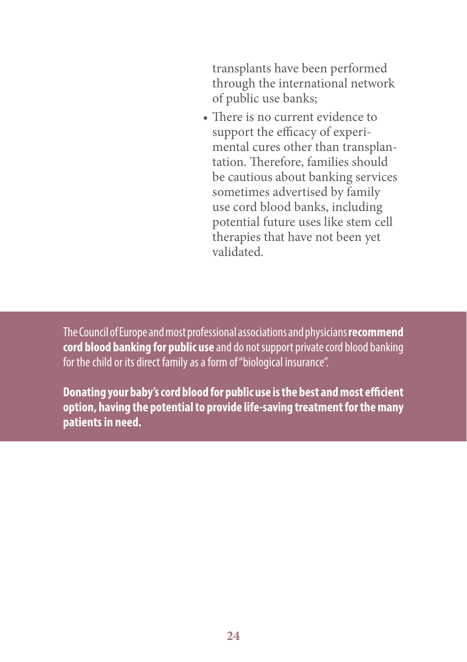transplants have been performed through the international network of public use banks;

• There is no current evidence to support the efficacy of experimental cures other than transplantation. Therefore, families should be cautious about banking services sometimes advertised by family use cord blood banks, including potential future uses like stem cell therapies that have not been yet validated.

The Council of Europe and most professional associations and physicians **recommend cord blood banking for public use** and do not support private cord blood banking for the child or its direct family as a form of ''biological insurance''.

**Donating your baby's cord blood for public use is the best and most efficient option, having the potential to provide life-saving treatment for the many patients in need.**